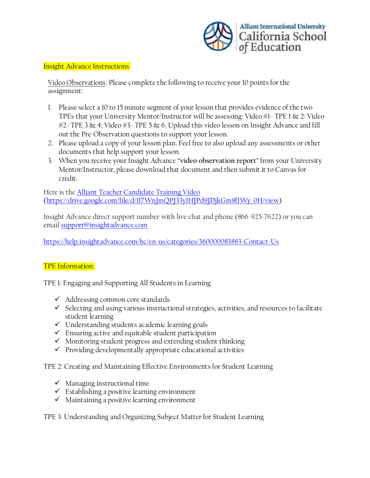

## Insight Advance Instructions:

Video Observations: Please complete the following to receive your 10 points for the assignment:

- 1. Please select a 10 to 15 minute segment of your lesson that provides evidence of the two TPEs that your University Mentor/Instructor will be assessing: Video #1- TPE 1 & 2: Video  $#2$ - TPE 3 & 4; Video  $#3$ - TPE 5 & 6. Upload this video lesson on Insight Advance and fill out the Pre-Observation questions to support your lesson.
- 2. Please upload a copy of your lesson plan. Feel free to also upload any assessments or other documents that help support your lesson.
- 3. When you receive your Insight Advance "**video observation report**" from your University Mentor/Instructor, please download that document and then submit it to Canvas for credit.

Here is the [Alliant Teacher Candidate Training Video](https://drive.google.com/file/d/1f7WnJmQPJ33yIHJPd9JDjkGm8fIWy_0H/view?usp=sharing) [\(https://drive.google.com/file/d/1f7WnJmQPJ33yIHJPd9JDjkGm8fIWy\\_0H/view\)](https://drive.google.com/file/d/1f7WnJmQPJ33yIHJPd9JDjkGm8fIWy_0H/view)

Insight Advance direct support number with live chat and phone (866-925-7622) or you can email [support@insightadvance.com](mailto:support@insightadvance.com)

<https://help.insightadvance.com/hc/en-us/categories/360000083883-Contact-Us>

## TPE Information:

TPE 1: Engaging and Supporting All Students in Learning

- ✓ Addressing common core standards
- $\checkmark$  Selecting and using various instructional strategies, activities, and resources to facilitate student learning
- ✓ Understanding students academic learning goals
- $\checkmark$  Ensuring active and equitable student participation
- ✓ Monitoring student progress and extending student thinking
- $\checkmark$  Providing developmentally appropriate educational activities

TPE 2: Creating and Maintaining Effective Environments for Student Learning

- $\checkmark$  Managing instructional time
- ✓ Establishing a positive learning environment
- $\checkmark$  Maintaining a positive learning environment

TPE 3: Understanding and Organizing Subject Matter for Student Learning